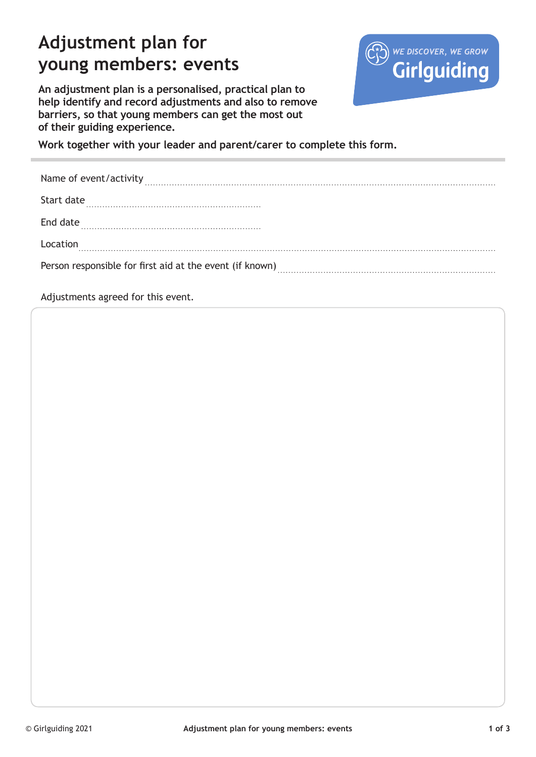# **Adjustment plan for young members: events**



**An adjustment plan is a personalised, practical plan to help identify and record adjustments and also to remove barriers, so that young members can get the most out of their guiding experience.** 

**Work together with your leader and parent/carer to complete this form.**

| Name of event/activity                                   |
|----------------------------------------------------------|
| Start date                                               |
| End date                                                 |
| Location                                                 |
| Person responsible for first aid at the event (if known) |

Adjustments agreed for this event.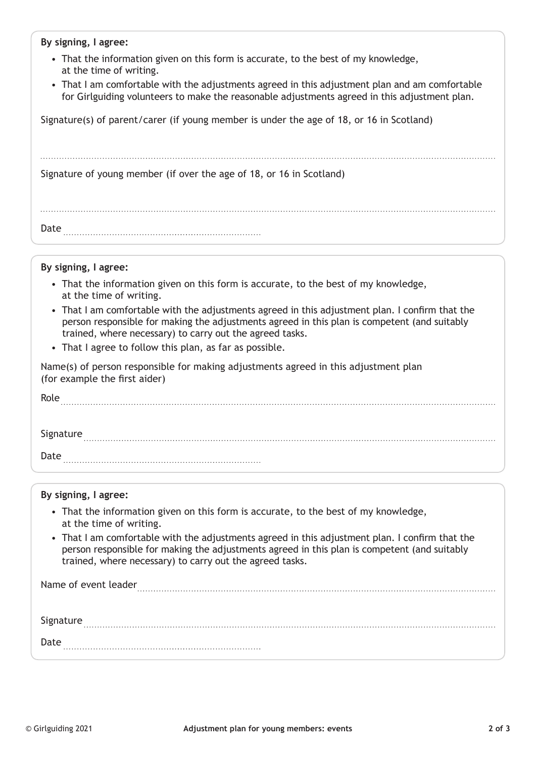### **By signing, I agree:**

- That the information given on this form is accurate, to the best of my knowledge, at the time of writing.
- That I am comfortable with the adjustments agreed in this adjustment plan and am comfortable for Girlguiding volunteers to make the reasonable adjustments agreed in this adjustment plan.

Signature(s) of parent/carer (if young member is under the age of 18, or 16 in Scotland)

Signature of young member (if over the age of 18, or 16 in Scotland)

| Date |  |
|------|--|

#### **By signing, I agree:**

- That the information given on this form is accurate, to the best of my knowledge, at the time of writing.
- That I am comfortable with the adjustments agreed in this adjustment plan. I confirm that the person responsible for making the adjustments agreed in this plan is competent (and suitably trained, where necessary) to carry out the agreed tasks.
- That I agree to follow this plan, as far as possible.

Name(s) of person responsible for making adjustments agreed in this adjustment plan (for example the first aider)

| Role      |  |  |  |
|-----------|--|--|--|
|           |  |  |  |
| Signature |  |  |  |
| Date      |  |  |  |

#### **By signing, I agree:**

- That the information given on this form is accurate, to the best of my knowledge, at the time of writing.
- That I am comfortable with the adjustments agreed in this adjustment plan. I confirm that the person responsible for making the adjustments agreed in this plan is competent (and suitably trained, where necessary) to carry out the agreed tasks.

Name of event leader 

| Signature |  |
|-----------|--|
| Date      |  |